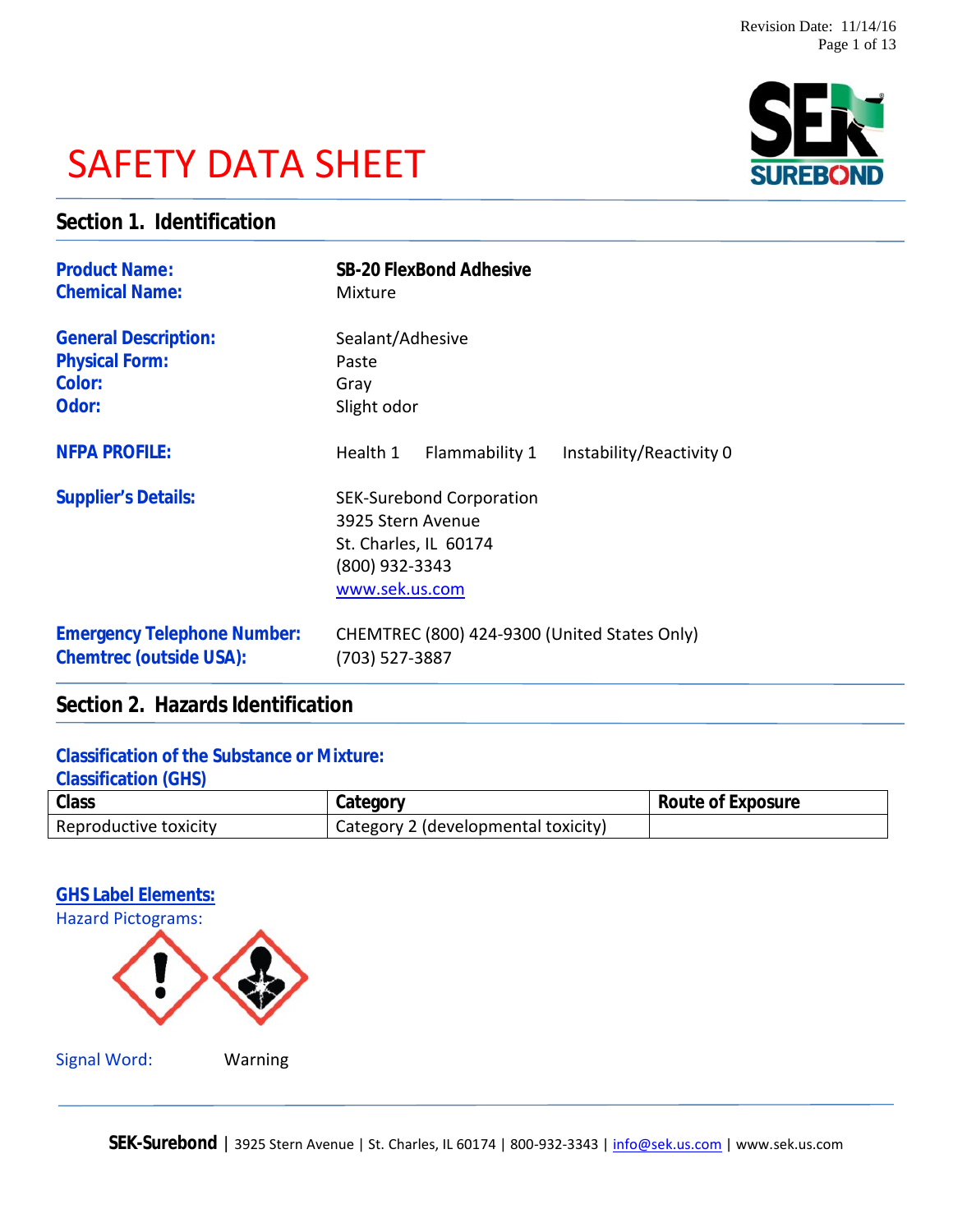# SAFETY DATA SHEET



# **Section 1. Identification**

| <b>Product Name:</b>               | SB-20 FlexBond Adhesive                                                                                           |
|------------------------------------|-------------------------------------------------------------------------------------------------------------------|
| <b>Chemical Name:</b>              | Mixture                                                                                                           |
| <b>General Description:</b>        | Sealant/Adhesive                                                                                                  |
| <b>Physical Form:</b>              | Paste                                                                                                             |
| Color:                             | Gray                                                                                                              |
| Odor:                              | Slight odor                                                                                                       |
| <b>NFPA PROFILE:</b>               | Flammability 1<br>Instability/Reactivity 0<br>Health 1                                                            |
| <b>Supplier's Details:</b>         | <b>SEK-Surebond Corporation</b><br>3925 Stern Avenue<br>St. Charles, IL 60174<br>(800) 932-3343<br>www.sek.us.com |
| <b>Emergency Telephone Number:</b> | CHEMTREC (800) 424-9300 (United States Only)                                                                      |
| Chemtrec (outside USA):            | (703) 527-3887                                                                                                    |

# **Section 2. Hazards Identification**

### **Classification of the Substance or Mixture:**

**Classification (GHS)**

| Class                 | Jategor                             | Route of Exposure |
|-----------------------|-------------------------------------|-------------------|
| Reproductive toxicity | Category 2 (developmental toxicity) |                   |



|  | <b>Signal Word:</b> |  |  |
|--|---------------------|--|--|
|  |                     |  |  |

Warning

SEK-Surebond | 3925 Stern Avenue | St. Charles, IL 60174 | 800-932-3343 | info@sek.us.com | www.sek.us.com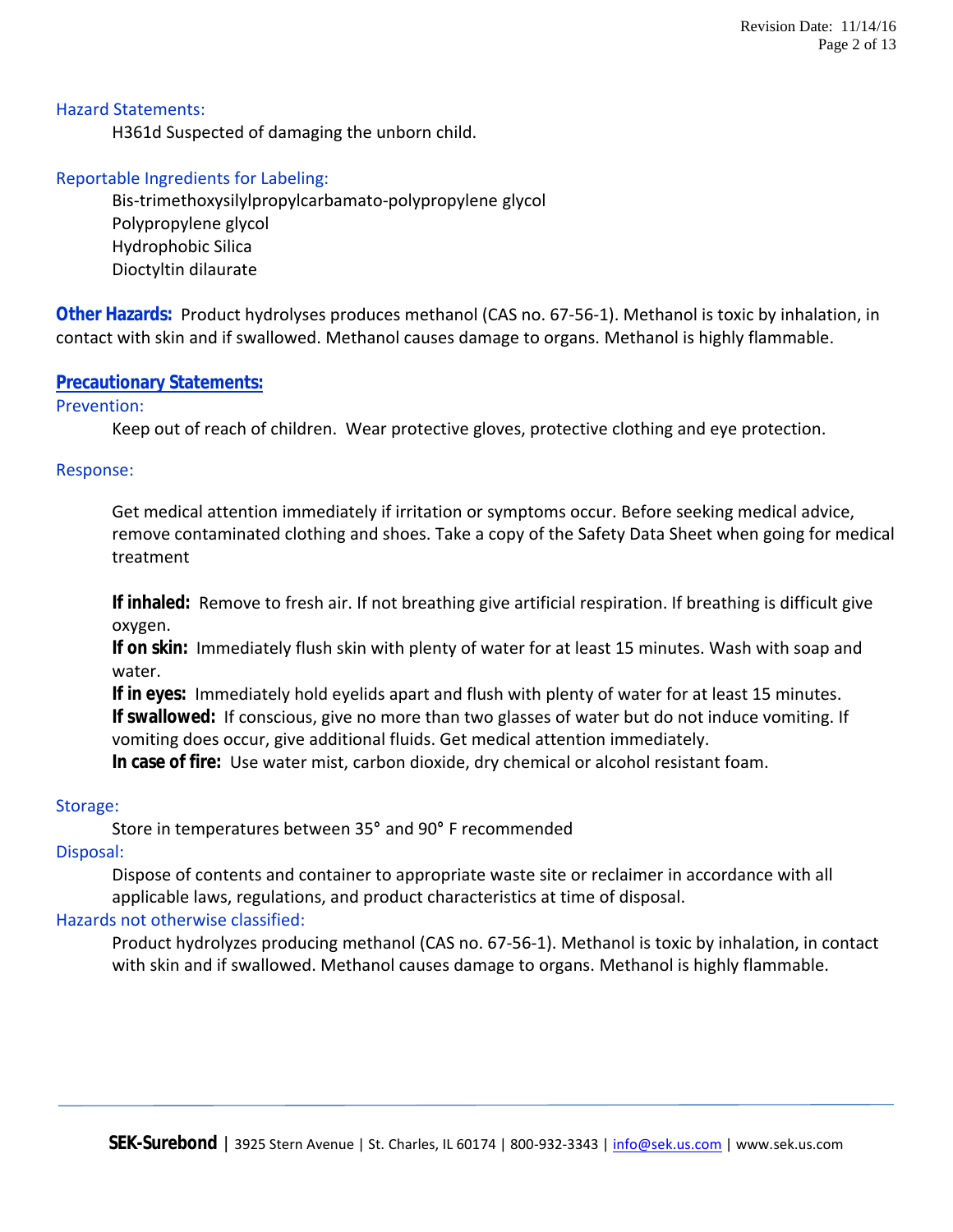#### Hazard Statements:

H361d Suspected of damaging the unborn child.

#### Reportable Ingredients for Labeling:

Bis-trimethoxysilylpropylcarbamato-polypropylene glycol Polypropylene glycol Hydrophobic Silica Dioctyltin dilaurate

**Other Hazards:** Product hydrolyses produces methanol (CAS no. 67-56-1). Methanol is toxic by inhalation, in contact with skin and if swallowed. Methanol causes damage to organs. Methanol is highly flammable.

#### **Precautionary Statements:**

#### Prevention:

Keep out of reach of children. Wear protective gloves, protective clothing and eye protection.

#### Response:

Get medical attention immediately if irritation or symptoms occur. Before seeking medical advice, remove contaminated clothing and shoes. Take a copy of the Safety Data Sheet when going for medical treatment

**If inhaled:** Remove to fresh air. If not breathing give artificial respiration. If breathing is difficult give oxygen.

**If on skin:** Immediately flush skin with plenty of water for at least 15 minutes. Wash with soap and water.

**If in eyes:** Immediately hold eyelids apart and flush with plenty of water for at least 15 minutes. **If swallowed:** If conscious, give no more than two glasses of water but do not induce vomiting. If vomiting does occur, give additional fluids. Get medical attention immediately. **In case of fire:** Use water mist, carbon dioxide, dry chemical or alcohol resistant foam.

#### Storage:

Store in temperatures between 35**°** and 90**°** F recommended

#### Disposal:

Dispose of contents and container to appropriate waste site or reclaimer in accordance with all applicable laws, regulations, and product characteristics at time of disposal.

#### Hazards not otherwise classified:

Product hydrolyzes producing methanol (CAS no. 67-56-1). Methanol is toxic by inhalation, in contact with skin and if swallowed. Methanol causes damage to organs. Methanol is highly flammable.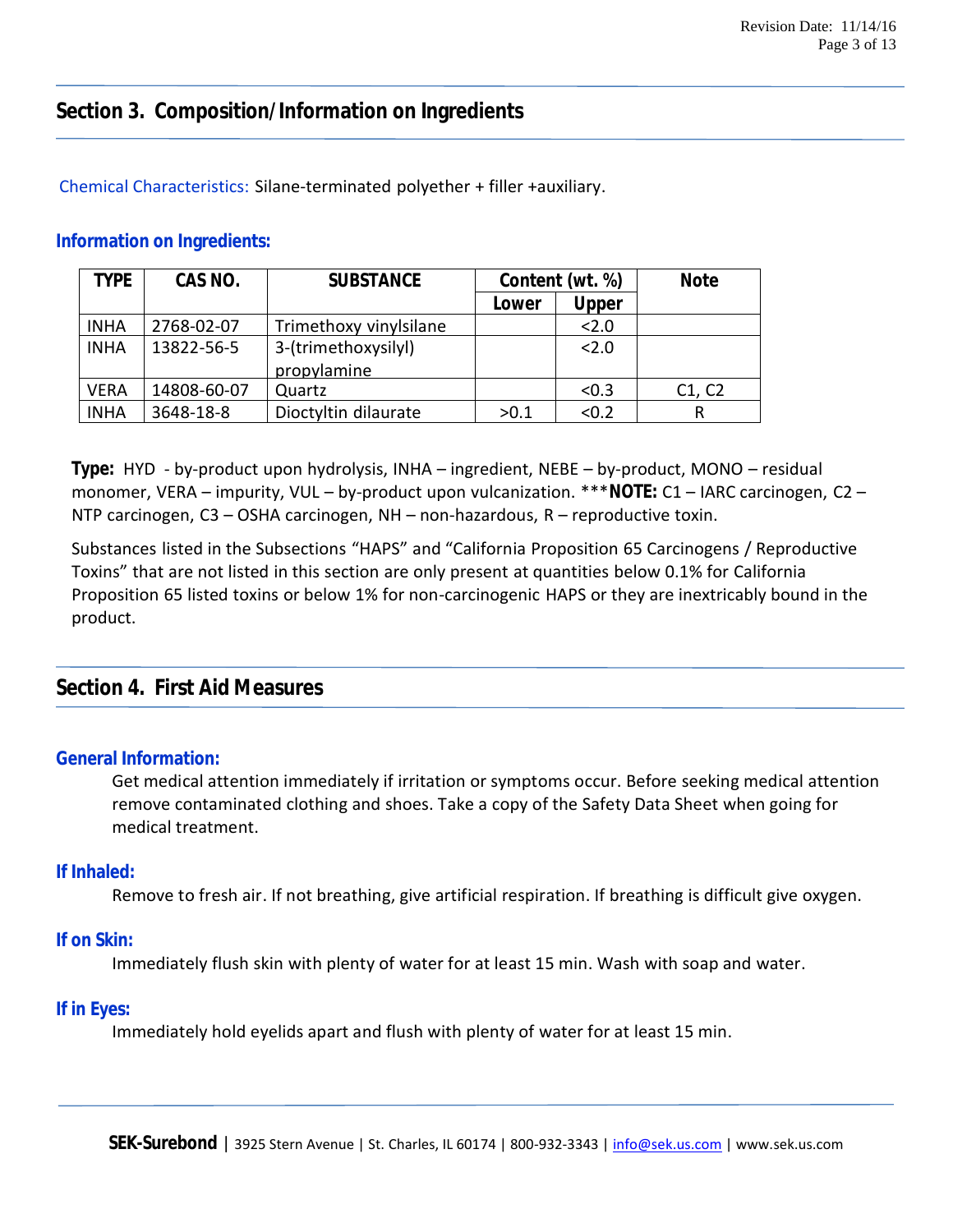# **Section 3. Composition/Information on Ingredients**

#### Chemical Characteristics: Silane-terminated polyether + filler +auxiliary.

#### **Information on Ingredients:**

| TYPE        | CAS NO.     | <b>SUBSTANCE</b>       | Content (wt. %) |       | <b>Note</b> |
|-------------|-------------|------------------------|-----------------|-------|-------------|
|             |             |                        | Lower           | Upper |             |
| <b>INHA</b> | 2768-02-07  | Trimethoxy vinylsilane |                 | 2.0   |             |
| <b>INHA</b> | 13822-56-5  | 3-(trimethoxysilyl)    |                 | 2.0   |             |
|             |             | propylamine            |                 |       |             |
| <b>VERA</b> | 14808-60-07 | Quartz                 |                 | < 0.3 | C1, C2      |
| <b>INHA</b> | 3648-18-8   | Dioctyltin dilaurate   | >0.1            | < 0.2 | R           |

**Type:** HYD - by-product upon hydrolysis, INHA – ingredient, NEBE – by-product, MONO – residual monomer, VERA – impurity, VUL – by-product upon vulcanization. \*\*\***NOTE:** C1 – IARC carcinogen, C2 – NTP carcinogen, C3 – OSHA carcinogen, NH – non-hazardous, R – reproductive toxin.

Substances listed in the Subsections "HAPS" and "California Proposition 65 Carcinogens / Reproductive Toxins" that are not listed in this section are only present at quantities below 0.1% for California Proposition 65 listed toxins or below 1% for non-carcinogenic HAPS or they are inextricably bound in the product.

## **Section 4. First Aid Measures**

#### **General Information:**

Get medical attention immediately if irritation or symptoms occur. Before seeking medical attention remove contaminated clothing and shoes. Take a copy of the Safety Data Sheet when going for medical treatment.

#### **If Inhaled:**

Remove to fresh air. If not breathing, give artificial respiration. If breathing is difficult give oxygen.

#### **If on Skin:**

Immediately flush skin with plenty of water for at least 15 min. Wash with soap and water.

#### **If in Eyes:**

Immediately hold eyelids apart and flush with plenty of water for at least 15 min.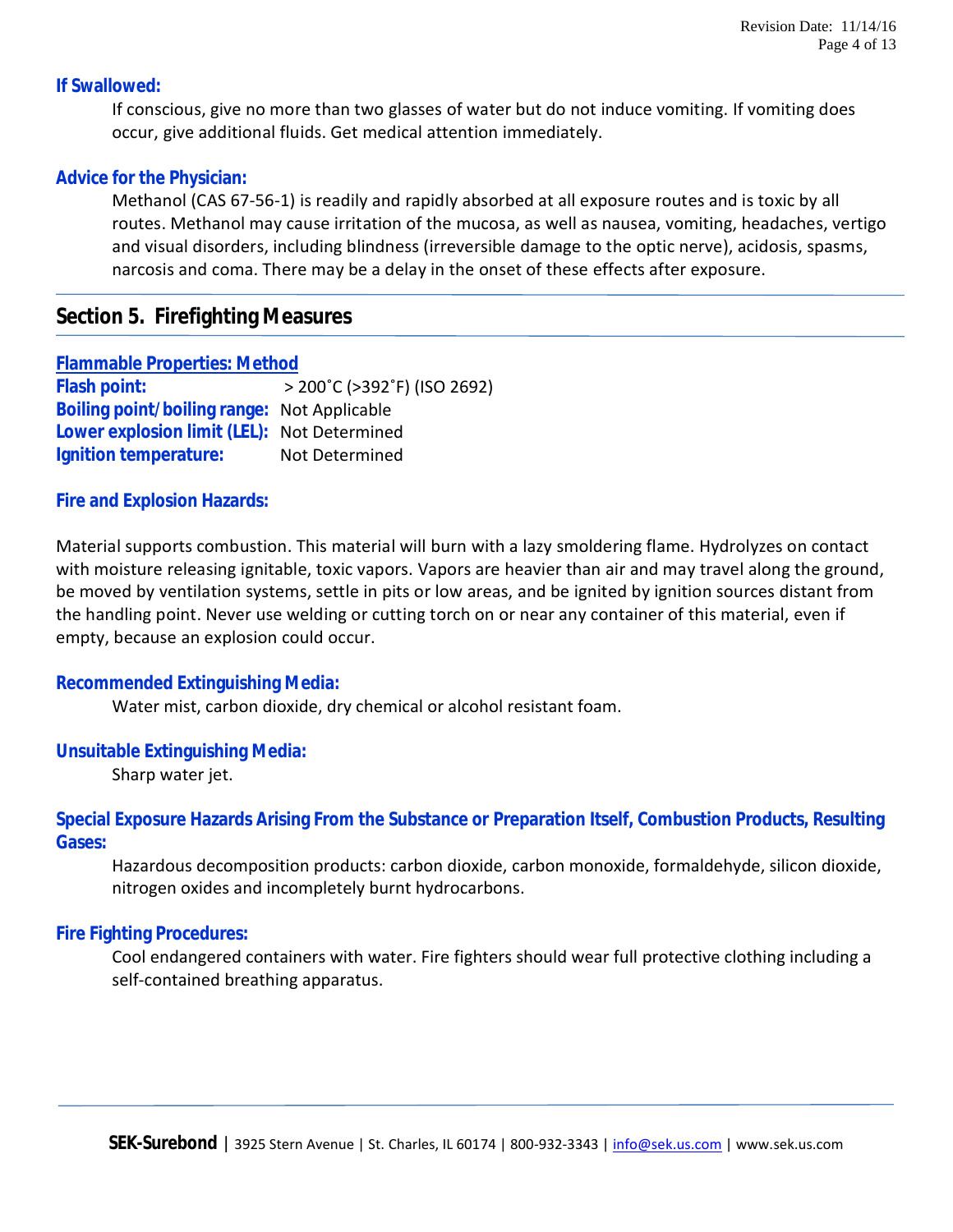#### **If Swallowed:**

If conscious, give no more than two glasses of water but do not induce vomiting. If vomiting does occur, give additional fluids. Get medical attention immediately.

#### **Advice for the Physician:**

Methanol (CAS 67-56-1) is readily and rapidly absorbed at all exposure routes and is toxic by all routes. Methanol may cause irritation of the mucosa, as well as nausea, vomiting, headaches, vertigo and visual disorders, including blindness (irreversible damage to the optic nerve), acidosis, spasms, narcosis and coma. There may be a delay in the onset of these effects after exposure.

# **Section 5. Firefighting Measures**

**Flammable Properties: Method Flash point:** > 200˚C (>392˚F) (ISO 2692) **Boiling point/boiling range:** Not Applicable **Lower explosion limit (LEL):** Not Determined **Ignition temperature:** Not Determined

#### **Fire and Explosion Hazards:**

Material supports combustion. This material will burn with a lazy smoldering flame. Hydrolyzes on contact with moisture releasing ignitable, toxic vapors. Vapors are heavier than air and may travel along the ground, be moved by ventilation systems, settle in pits or low areas, and be ignited by ignition sources distant from the handling point. Never use welding or cutting torch on or near any container of this material, even if empty, because an explosion could occur.

#### **Recommended Extinguishing Media:**

Water mist, carbon dioxide, dry chemical or alcohol resistant foam.

#### **Unsuitable Extinguishing Media:**

Sharp water jet.

**Special Exposure Hazards Arising From the Substance or Preparation Itself, Combustion Products, Resulting Gases:**

Hazardous decomposition products: carbon dioxide, carbon monoxide, formaldehyde, silicon dioxide, nitrogen oxides and incompletely burnt hydrocarbons.

#### **Fire Fighting Procedures:**

Cool endangered containers with water. Fire fighters should wear full protective clothing including a self-contained breathing apparatus.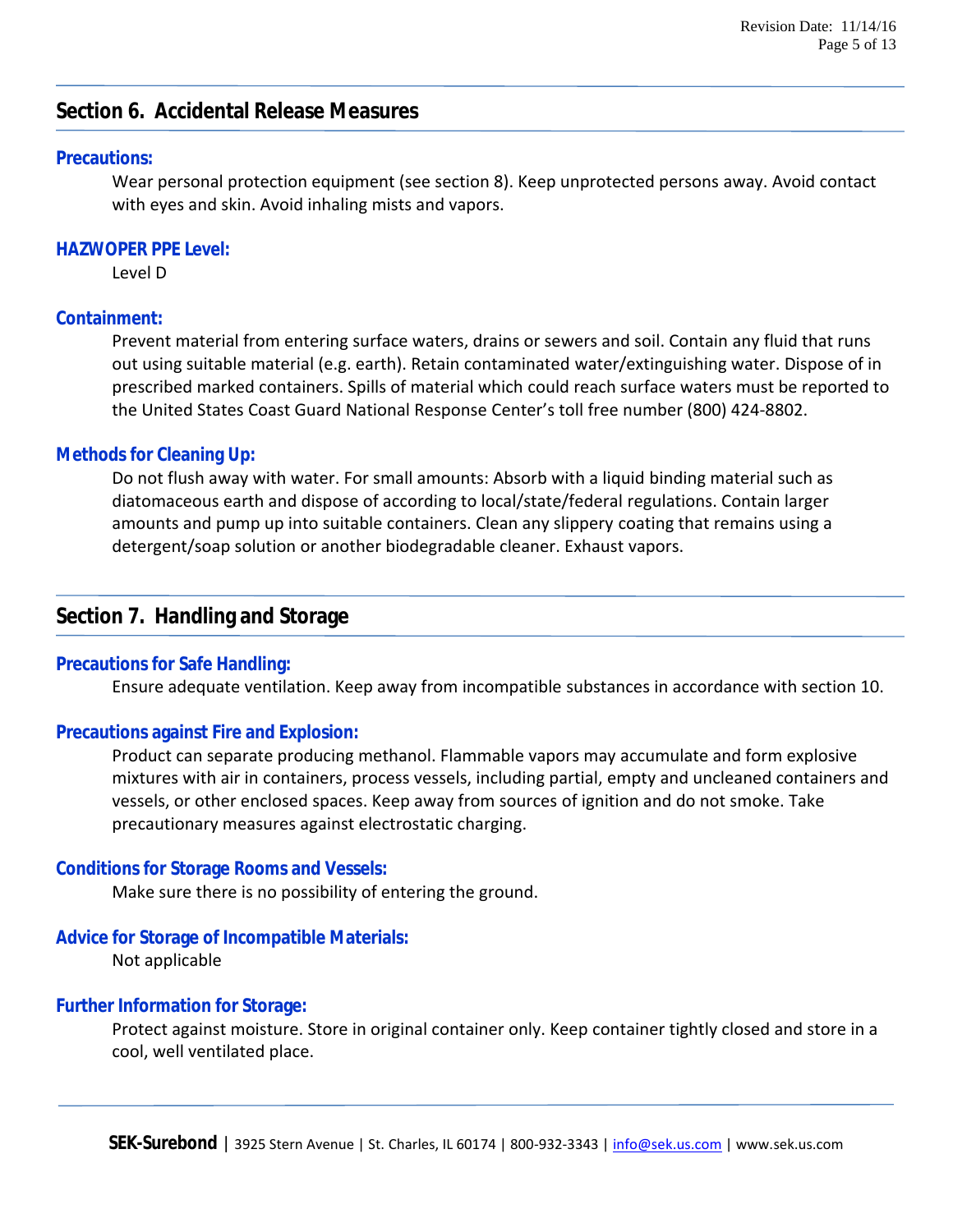# **Section 6. Accidental Release Measures**

#### **Precautions:**

Wear personal protection equipment (see section 8). Keep unprotected persons away. Avoid contact with eyes and skin. Avoid inhaling mists and vapors.

#### **HAZWOPER PPE Level:**

Level D

#### **Containment:**

Prevent material from entering surface waters, drains or sewers and soil. Contain any fluid that runs out using suitable material (e.g. earth). Retain contaminated water/extinguishing water. Dispose of in prescribed marked containers. Spills of material which could reach surface waters must be reported to the United States Coast Guard National Response Center's toll free number (800) 424-8802.

#### **Methods for Cleaning Up:**

Do not flush away with water. For small amounts: Absorb with a liquid binding material such as diatomaceous earth and dispose of according to local/state/federal regulations. Contain larger amounts and pump up into suitable containers. Clean any slippery coating that remains using a detergent/soap solution or another biodegradable cleaner. Exhaust vapors.

## **Section 7. Handling and Storage**

#### **Precautions for Safe Handling:**

Ensure adequate ventilation. Keep away from incompatible substances in accordance with section 10.

#### **Precautions against Fire and Explosion:**

Product can separate producing methanol. Flammable vapors may accumulate and form explosive mixtures with air in containers, process vessels, including partial, empty and uncleaned containers and vessels, or other enclosed spaces. Keep away from sources of ignition and do not smoke. Take precautionary measures against electrostatic charging.

#### **Conditions for Storage Rooms and Vessels:**

Make sure there is no possibility of entering the ground.

#### **Advice for Storage of Incompatible Materials:**

Not applicable

#### **Further Information for Storage:**

Protect against moisture. Store in original container only. Keep container tightly closed and store in a cool, well ventilated place.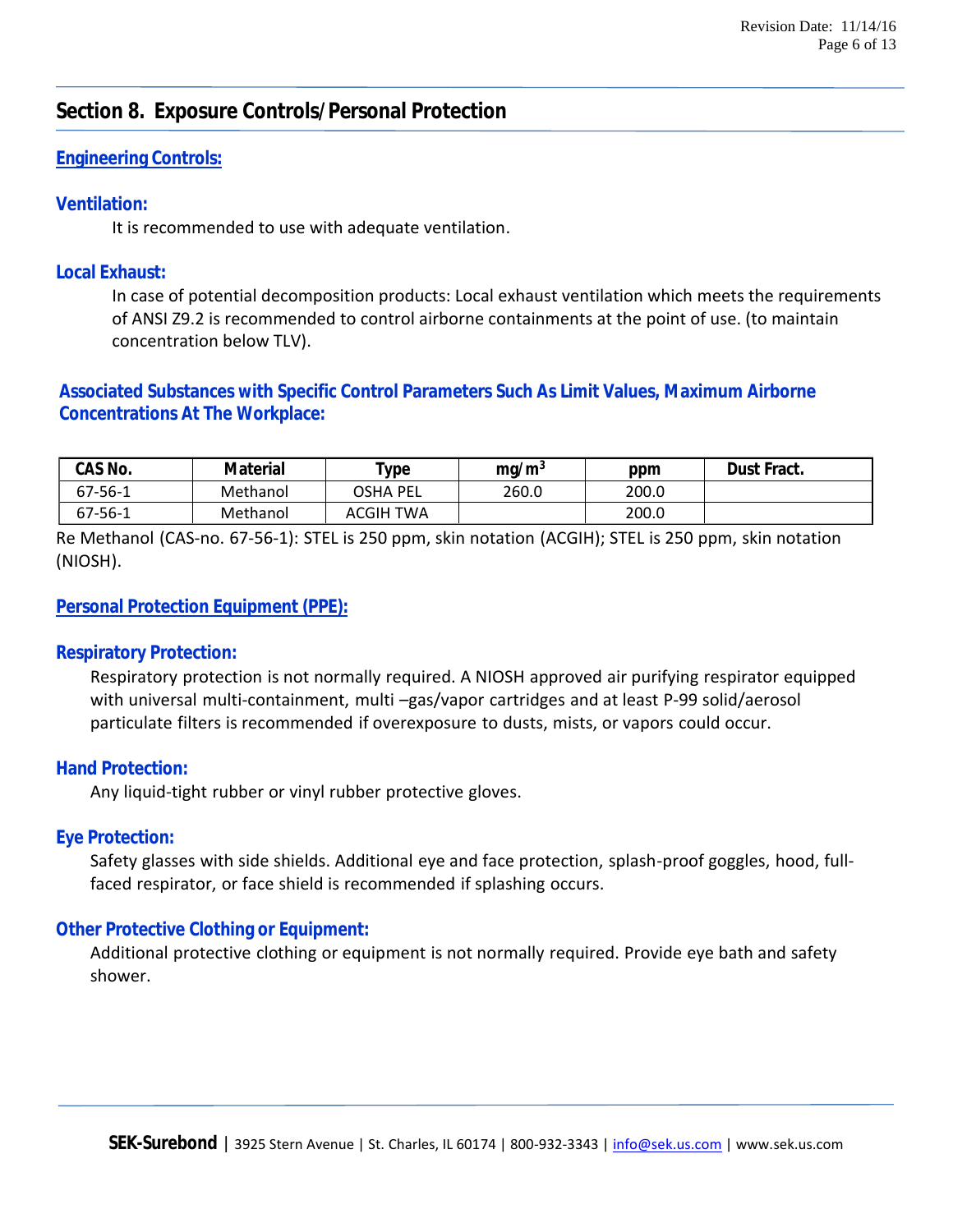# **Section 8. Exposure Controls/Personal Protection**

#### **Engineering Controls:**

#### **Ventilation:**

It is recommended to use with adequate ventilation.

#### **Local Exhaust:**

In case of potential decomposition products: Local exhaust ventilation which meets the requirements of ANSI Z9.2 is recommended to control airborne containments at the point of use. (to maintain concentration below TLV).

### **Associated Substances with Specific Control Parameters Such As Limit Values, Maximum Airborne Concentrations At The Workplace:**

| CAS No.       | Material | $^{\mathsf{T}}$ ype | ma/m <sup>3</sup> | ppm   | Dust Fract. |
|---------------|----------|---------------------|-------------------|-------|-------------|
| $67 - 56 - 1$ | Methanol | OSHA PEL            | 260.0             | 200.0 |             |
| $67 - 56 - 1$ | Methanol | ACGIH TWA           |                   | 200.0 |             |

Re Methanol (CAS-no. 67-56-1): STEL is 250 ppm, skin notation (ACGIH); STEL is 250 ppm, skin notation (NIOSH).

#### **Personal Protection Equipment (PPE):**

#### **Respiratory Protection:**

Respiratory protection is not normally required. A NIOSH approved air purifying respirator equipped with universal multi-containment, multi –gas/vapor cartridges and at least P-99 solid/aerosol particulate filters is recommended if overexposure to dusts, mists, or vapors could occur.

#### **Hand Protection:**

Any liquid-tight rubber or vinyl rubber protective gloves.

#### **Eye Protection:**

Safety glasses with side shields. Additional eye and face protection, splash-proof goggles, hood, fullfaced respirator, or face shield is recommended if splashing occurs.

#### **Other Protective Clothing or Equipment:**

Additional protective clothing or equipment is not normally required. Provide eye bath and safety shower.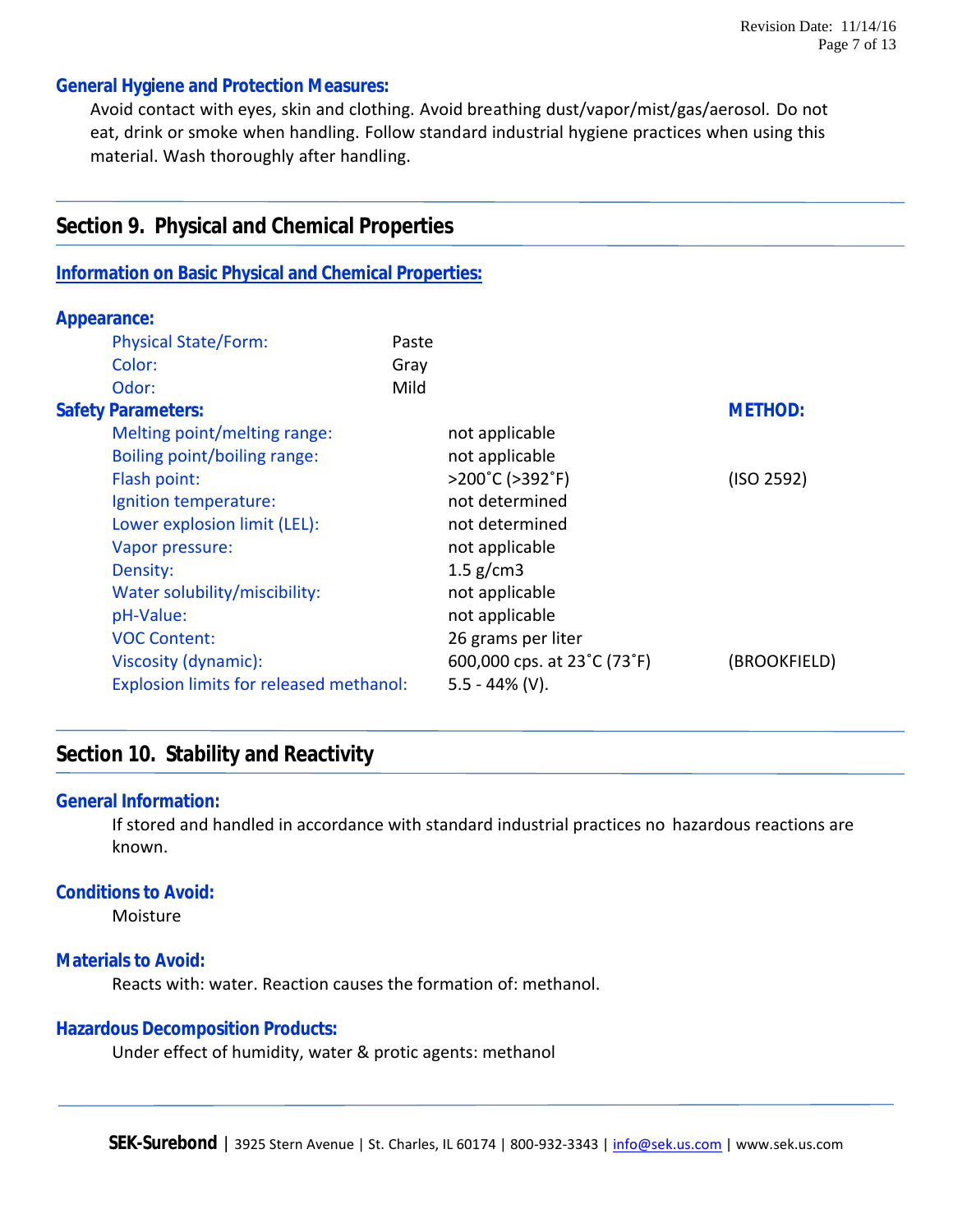#### **General Hygiene and Protection Measures:**

**Section 9. Physical and Chemical Properties**

**Information on Basic Physical and Chemical Properties:**

Avoid contact with eyes, skin and clothing. Avoid breathing dust/vapor/mist/gas/aerosol. Do not eat, drink or smoke when handling. Follow standard industrial hygiene practices when using this material. Wash thoroughly after handling.

| <u>INTOI HIAUUH OH DASIU FITYSIUAI AHU UHEHIIUAI FI UPEI (IES.</u> |       |                             |                |
|--------------------------------------------------------------------|-------|-----------------------------|----------------|
| Appearance:                                                        |       |                             |                |
| <b>Physical State/Form:</b>                                        | Paste |                             |                |
| Color:                                                             | Gray  |                             |                |
| Odor:                                                              | Mild  |                             |                |
| <b>Safety Parameters:</b>                                          |       |                             | <b>METHOD:</b> |
| Melting point/melting range:                                       |       | not applicable              |                |
| Boiling point/boiling range:                                       |       | not applicable              |                |
| Flash point:                                                       |       | >200°C (>392°F)             | (ISO 2592)     |
| Ignition temperature:                                              |       | not determined              |                |
| Lower explosion limit (LEL):                                       |       | not determined              |                |
| Vapor pressure:                                                    |       | not applicable              |                |
| Density:                                                           |       | $1.5$ g/cm3                 |                |
| Water solubility/miscibility:                                      |       | not applicable              |                |
| pH-Value:                                                          |       | not applicable              |                |
| <b>VOC Content:</b>                                                |       | 26 grams per liter          |                |
| Viscosity (dynamic):                                               |       | 600,000 cps. at 23°C (73°F) | (BROOKFIELD)   |
| Explosion limits for released methanol:                            |       | $5.5 - 44\%$ (V).           |                |
|                                                                    |       |                             |                |

# **Section 10. Stability and Reactivity**

#### **General Information:**

If stored and handled in accordance with standard industrial practices no hazardous reactions are known.

#### **Conditions to Avoid:**

Moisture

#### **Materials to Avoid:**

Reacts with: water. Reaction causes the formation of: methanol.

#### **Hazardous Decomposition Products:**

Under effect of humidity, water & protic agents: methanol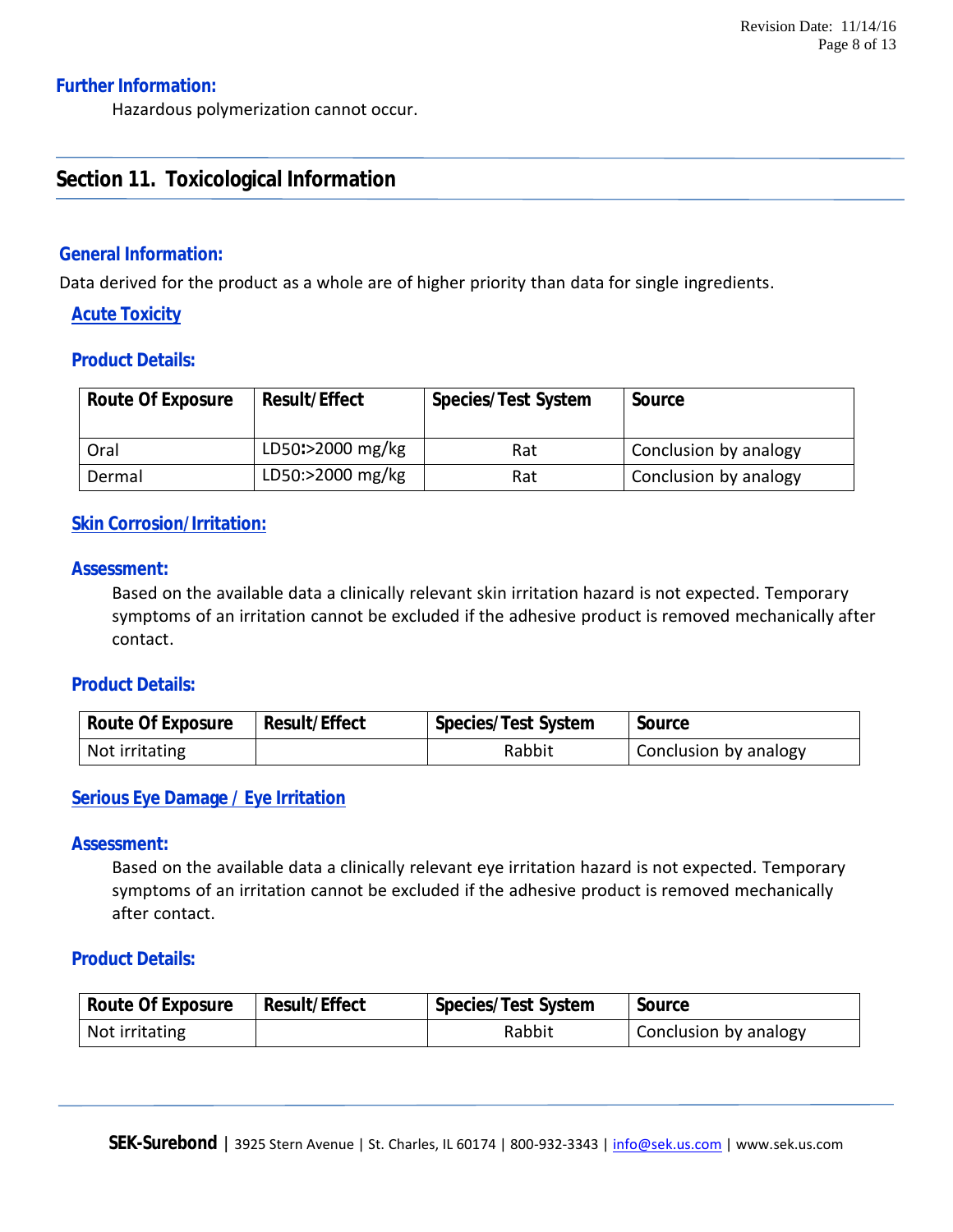#### **Further Information:**

Hazardous polymerization cannot occur.

# **Section 11. Toxicological Information**

#### **General Information:**

Data derived for the product as a whole are of higher priority than data for single ingredients.

#### **Acute Toxicity**

#### **Product Details:**

| Route Of Exposure | Result/Effect    | Species/Test System | Source                |
|-------------------|------------------|---------------------|-----------------------|
| Oral              | LD50:>2000 mg/kg | Rat                 | Conclusion by analogy |
| Dermal            | LD50:>2000 mg/kg | Rat                 | Conclusion by analogy |

#### **Skin Corrosion/Irritation:**

#### **Assessment:**

Based on the available data a clinically relevant skin irritation hazard is not expected. Temporary symptoms of an irritation cannot be excluded if the adhesive product is removed mechanically after contact.

#### **Product Details:**

| Route Of Exposure | Result/Effect | Species/Test System | Source                |
|-------------------|---------------|---------------------|-----------------------|
| Not irritating    |               | Rabbit              | Conclusion by analogy |

#### **Serious Eye Damage / Eye Irritation**

#### **Assessment:**

Based on the available data a clinically relevant eye irritation hazard is not expected. Temporary symptoms of an irritation cannot be excluded if the adhesive product is removed mechanically after contact.

#### **Product Details:**

| Route Of Exposure | Result/Effect | Species/Test System | Source                |
|-------------------|---------------|---------------------|-----------------------|
| Not irritating    |               | Rabbit              | Conclusion by analogy |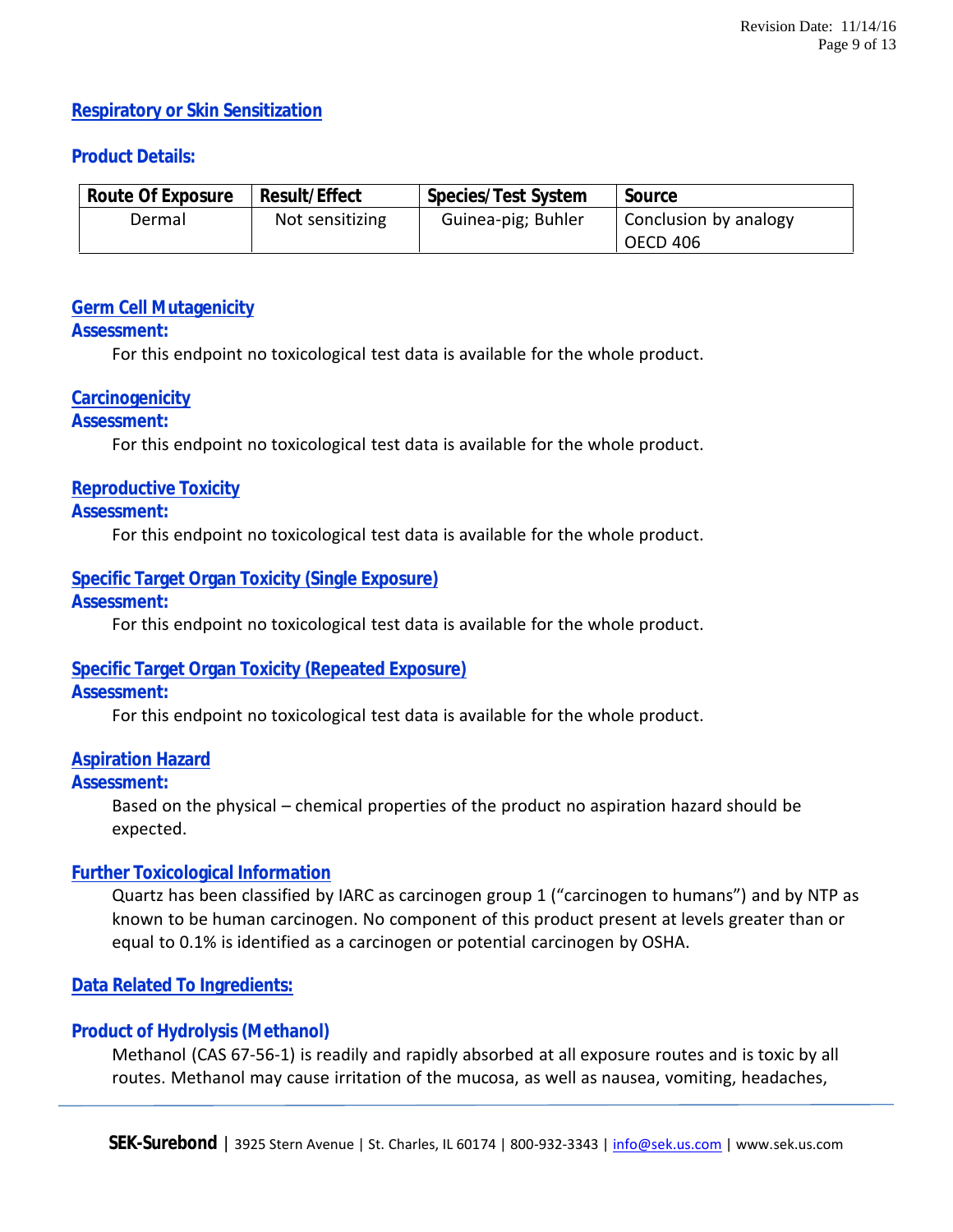#### **Respiratory or Skin Sensitization**

#### **Product Details:**

| Route Of Exposure | Result/Effect   | Species/Test System | Source                            |
|-------------------|-----------------|---------------------|-----------------------------------|
| Dermal            | Not sensitizing | Guinea-pig; Buhler  | Conclusion by analogy<br>OECD 406 |

#### **Germ Cell Mutagenicity**

#### **Assessment:**

For this endpoint no toxicological test data is available for the whole product.

#### **Carcinogenicity**

#### **Assessment:**

For this endpoint no toxicological test data is available for the whole product.

#### **Reproductive Toxicity**

#### **Assessment:**

For this endpoint no toxicological test data is available for the whole product.

# **Specific Target Organ Toxicity (Single Exposure)**

#### **Assessment:**

For this endpoint no toxicological test data is available for the whole product.

#### **Specific Target Organ Toxicity (Repeated Exposure)**

#### **Assessment:**

For this endpoint no toxicological test data is available for the whole product.

#### **Aspiration Hazard**

#### **Assessment:**

Based on the physical – chemical properties of the product no aspiration hazard should be expected.

#### **Further Toxicological Information**

Quartz has been classified by IARC as carcinogen group 1 ("carcinogen to humans") and by NTP as known to be human carcinogen. No component of this product present at levels greater than or equal to 0.1% is identified as a carcinogen or potential carcinogen by OSHA.

#### **Data Related To Ingredients:**

#### **Product of Hydrolysis (Methanol)**

Methanol (CAS 67-56-1) is readily and rapidly absorbed at all exposure routes and is toxic by all routes. Methanol may cause irritation of the mucosa, as well as nausea, vomiting, headaches,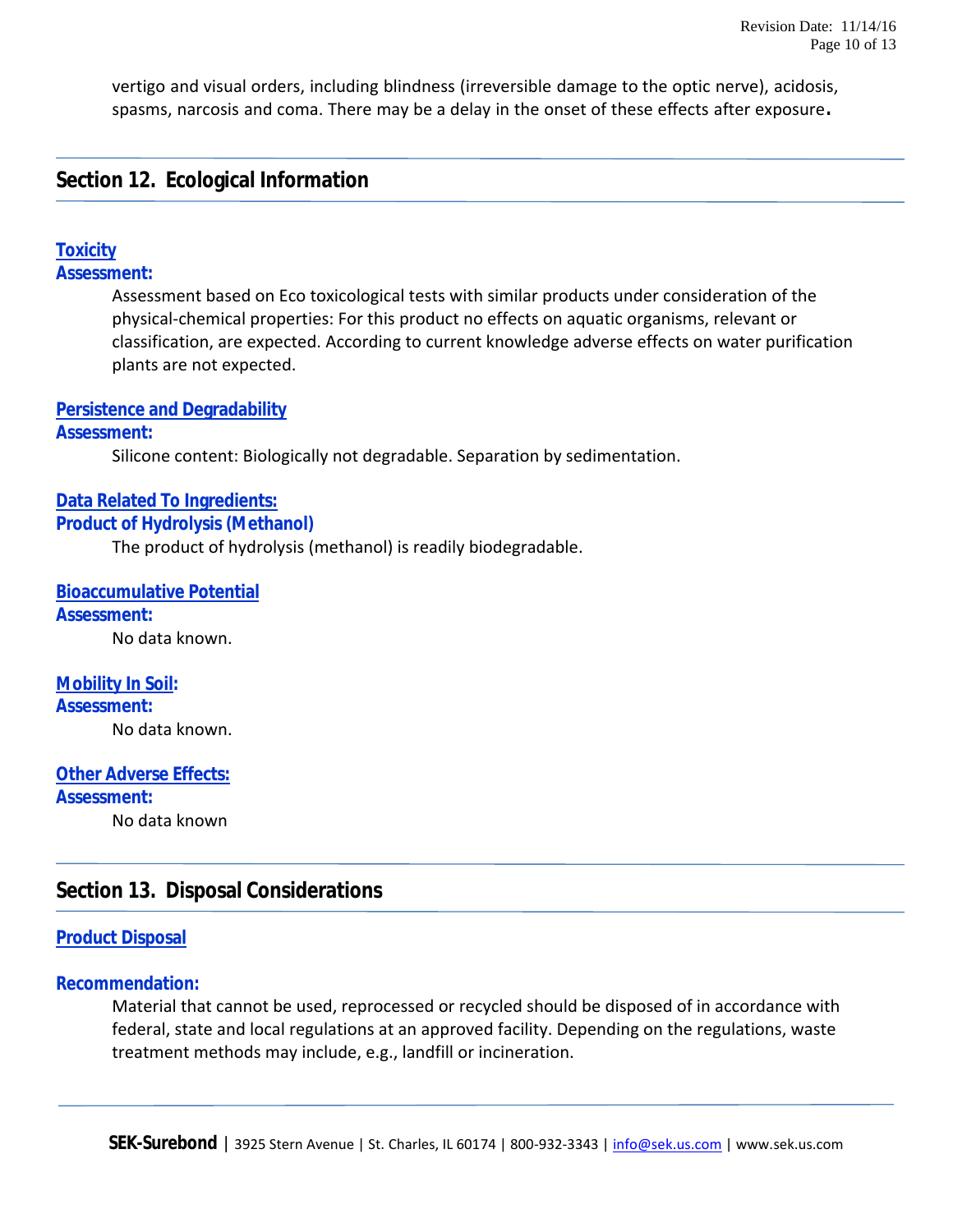vertigo and visual orders, including blindness (irreversible damage to the optic nerve), acidosis, spasms, narcosis and coma. There may be a delay in the onset of these effects after exposure**.**

# **Section 12. Ecological Information**

#### **Toxicity**

**Assessment:**

Assessment based on Eco toxicological tests with similar products under consideration of the physical-chemical properties: For this product no effects on aquatic organisms, relevant or classification, are expected. According to current knowledge adverse effects on water purification plants are not expected.

#### **Persistence and Degradability**

#### **Assessment:**

Silicone content: Biologically not degradable. Separation by sedimentation.

#### **Data Related To Ingredients:**

**Product of Hydrolysis (Methanol)**

The product of hydrolysis (methanol) is readily biodegradable.

**Bioaccumulative Potential Assessment:** No data known.

**Mobility In Soil: Assessment:** No data known.

#### **Other Adverse Effects:**

**Assessment:** No data known

# **Section 13. Disposal Considerations**

#### **Product Disposal**

#### **Recommendation:**

Material that cannot be used, reprocessed or recycled should be disposed of in accordance with federal, state and local regulations at an approved facility. Depending on the regulations, waste treatment methods may include, e.g., landfill or incineration.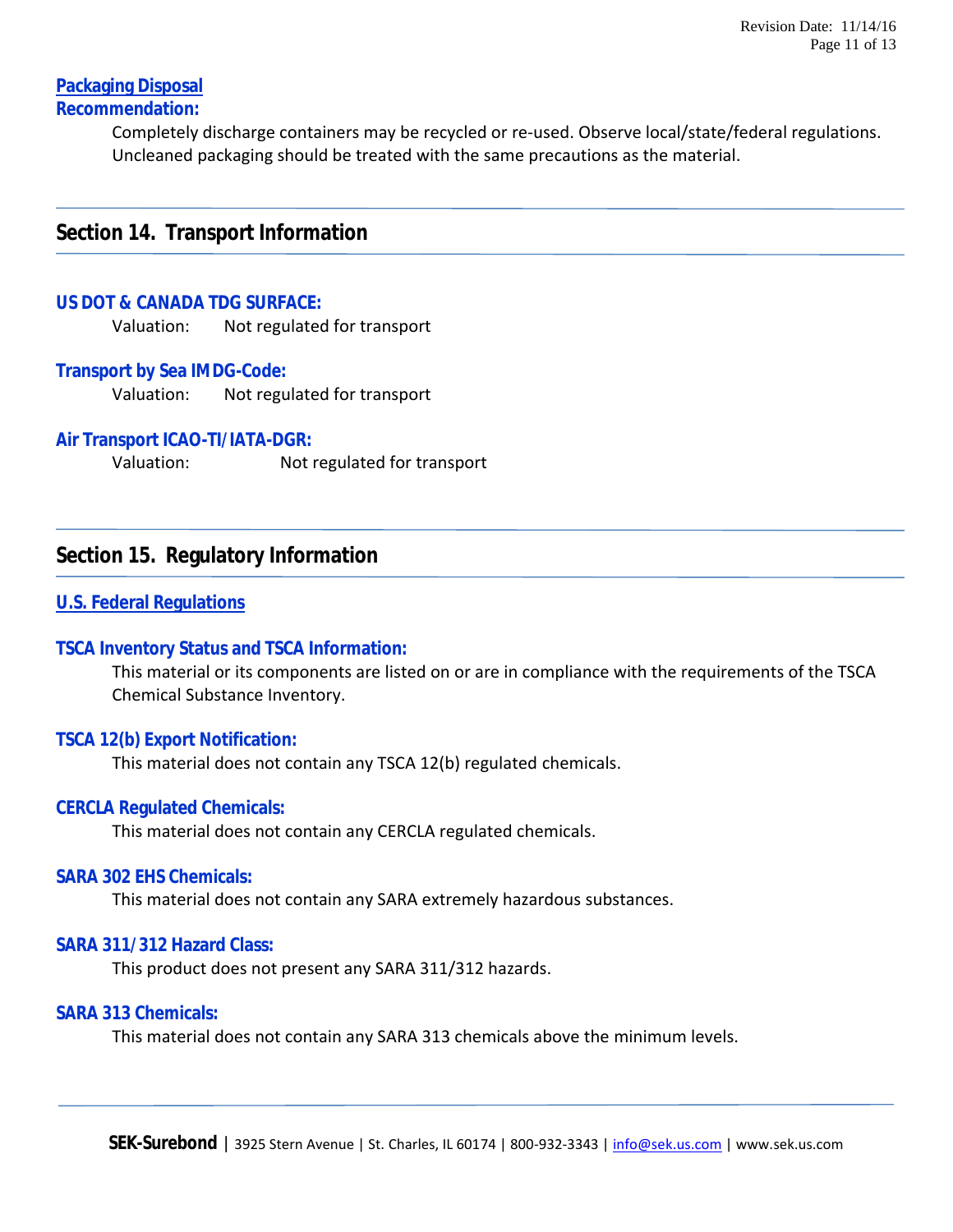#### **Packaging Disposal Recommendation:**

Completely discharge containers may be recycled or re-used. Observe local/state/federal regulations. Uncleaned packaging should be treated with the same precautions as the material.

## **Section 14. Transport Information**

#### **US DOT & CANADA TDG SURFACE:**

Valuation: Not regulated for transport

#### **Transport by Sea IMDG-Code:**

Valuation: Not regulated for transport

#### **Air Transport ICAO-TI/IATA-DGR:**

Valuation: Not regulated for transport

#### **Section 15. Regulatory Information**

#### **U.S. Federal Regulations**

#### **TSCA Inventory Status and TSCA Information:**

This material or its components are listed on or are in compliance with the requirements of the TSCA Chemical Substance Inventory.

#### **TSCA 12(b) Export Notification:**

This material does not contain any TSCA 12(b) regulated chemicals.

#### **CERCLA Regulated Chemicals:**

This material does not contain any CERCLA regulated chemicals.

#### **SARA 302 EHS Chemicals:**

This material does not contain any SARA extremely hazardous substances.

#### **SARA 311/312 Hazard Class:**

This product does not present any SARA 311/312 hazards.

#### **SARA 313 Chemicals:**

This material does not contain any SARA 313 chemicals above the minimum levels.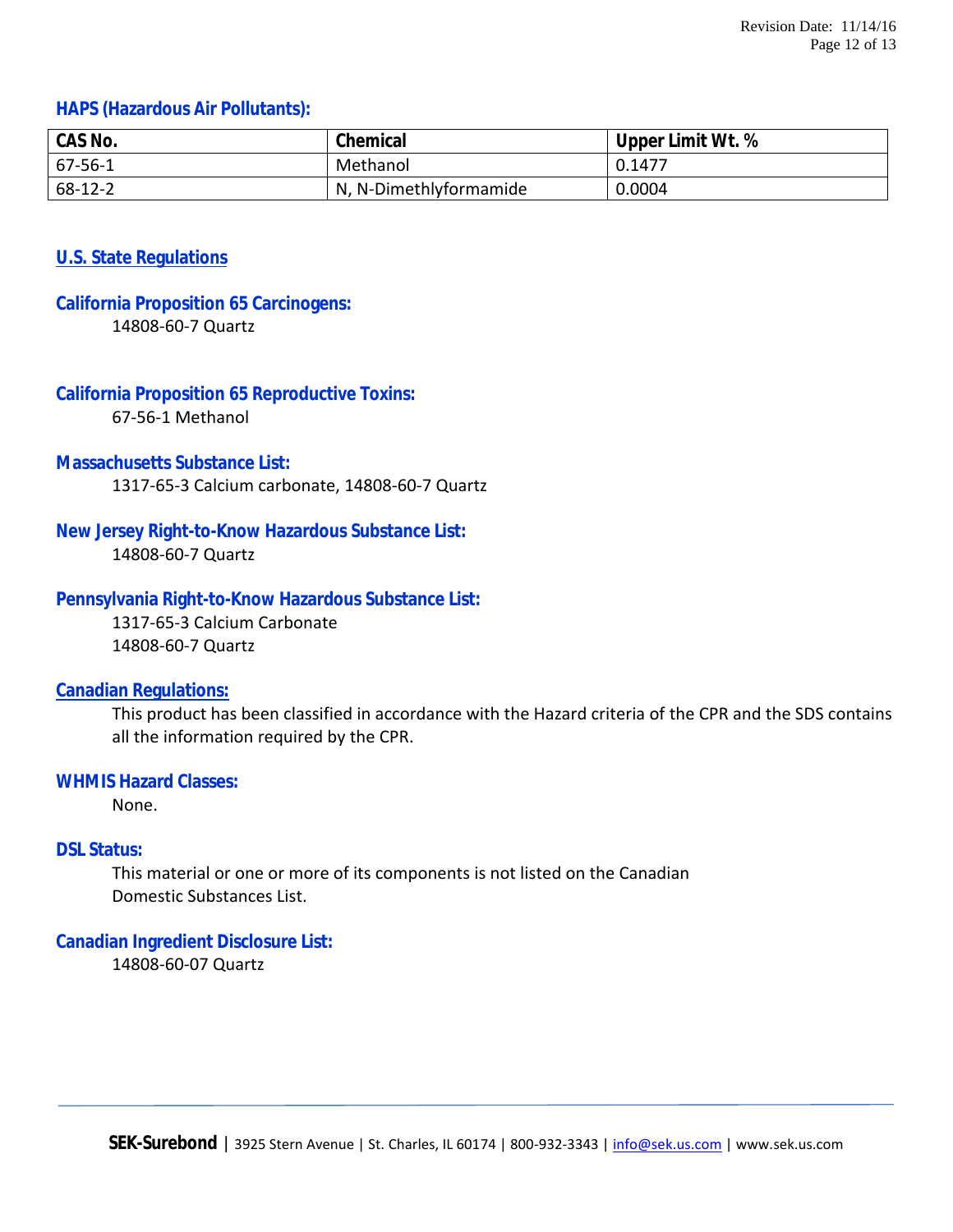#### **HAPS (Hazardous Air Pollutants):**

| CAS No.       | Chemical               | Upper Limit Wt. % |
|---------------|------------------------|-------------------|
| $67 - 56 - 1$ | Methanol               | 0.1477            |
| $68 - 12 - 2$ | N, N-Dimethlyformamide | 0.0004            |

#### **U.S. State Regulations**

# **California Proposition 65 Carcinogens:**

14808-60-7 Quartz

# **California Proposition 65 Reproductive Toxins:**

67-56-1 Methanol

#### **Massachusetts Substance List:**

1317-65-3 Calcium carbonate, 14808-60-7 Quartz

#### **New Jersey Right-to-Know Hazardous Substance List:**

14808-60-7 Quartz

#### **Pennsylvania Right-to-Know Hazardous Substance List:**

1317-65-3 Calcium Carbonate 14808-60-7 Quartz

#### **Canadian Regulations:**

This product has been classified in accordance with the Hazard criteria of the CPR and the SDS contains all the information required by the CPR.

#### **WHMIS Hazard Classes:**

None.

### **DSL Status:**

This material or one or more of its components is not listed on the Canadian Domestic Substances List.

#### **Canadian Ingredient Disclosure List:**

14808-60-07 Quartz